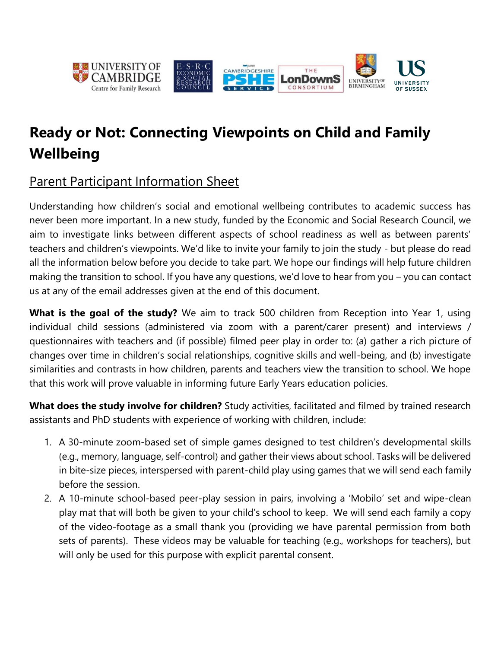

# **Ready or Not: Connecting Viewpoints on Child and Family Wellbeing**

# Parent Participant Information Sheet

Understanding how children's social and emotional wellbeing contributes to academic success has never been more important. In a new study, funded by the Economic and Social Research Council, we aim to investigate links between different aspects of school readiness as well as between parents' teachers and children's viewpoints. We'd like to invite your family to join the study - but please do read all the information below before you decide to take part. We hope our findings will help future children making the transition to school. If you have any questions, we'd love to hear from you – you can contact us at any of the email addresses given at the end of this document.

**What is the goal of the study?** We aim to track 500 children from Reception into Year 1, using individual child sessions (administered via zoom with a parent/carer present) and interviews / questionnaires with teachers and (if possible) filmed peer play in order to: (a) gather a rich picture of changes over time in children's social relationships, cognitive skills and well-being, and (b) investigate similarities and contrasts in how children, parents and teachers view the transition to school. We hope that this work will prove valuable in informing future Early Years education policies.

**What does the study involve for children?** Study activities, facilitated and filmed by trained research assistants and PhD students with experience of working with children, include:

- 1. A 30-minute zoom-based set of simple games designed to test children's developmental skills (e.g., memory, language, self-control) and gather their views about school. Tasks will be delivered in bite-size pieces, interspersed with parent-child play using games that we will send each family before the session.
- 2. A 10-minute school-based peer-play session in pairs, involving a 'Mobilo' set and wipe-clean play mat that will both be given to your child's school to keep. We will send each family a copy of the video-footage as a small thank you (providing we have parental permission from both sets of parents). These videos may be valuable for teaching (e.g., workshops for teachers), but will only be used for this purpose with explicit parental consent.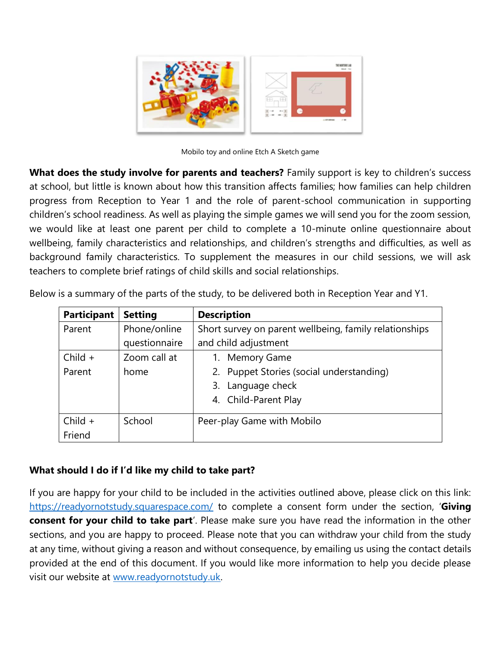

Mobilo toy and online Etch A Sketch game

**What does the study involve for parents and teachers?** Family support is key to children's success at school, but little is known about how this transition affects families; how families can help children progress from Reception to Year 1 and the role of parent-school communication in supporting children's school readiness. As well as playing the simple games we will send you for the zoom session, we would like at least one parent per child to complete a 10-minute online questionnaire about wellbeing, family characteristics and relationships, and children's strengths and difficulties, as well as background family characteristics. To supplement the measures in our child sessions, we will ask teachers to complete brief ratings of child skills and social relationships.

| <b>Participant</b> | <b>Setting</b> | <b>Description</b>                                     |
|--------------------|----------------|--------------------------------------------------------|
| Parent             | Phone/online   | Short survey on parent wellbeing, family relationships |
|                    | questionnaire  | and child adjustment                                   |
| $Child +$          | Zoom call at   | 1. Memory Game                                         |
| Parent             | home           | 2. Puppet Stories (social understanding)               |
|                    |                | Language check<br>3.                                   |
|                    |                | 4. Child-Parent Play                                   |
| $Child +$          | School         | Peer-play Game with Mobilo                             |
| Friend             |                |                                                        |

Below is a summary of the parts of the study, to be delivered both in Reception Year and Y1.

### **What should I do if I'd like my child to take part?**

If you are happy for your child to be included in the activities outlined above, please click on this link: <https://readyornotstudy.squarespace.com/> to complete a consent form under the section, '**Giving consent for your child to take part**'. Please make sure you have read the information in the other sections, and you are happy to proceed. Please note that you can withdraw your child from the study at any time, without giving a reason and without consequence, by emailing us using the contact details provided at the end of this document. If you would like more information to help you decide please visit our website at [www.readyornotstudy.uk.](http://www.readyornotstudy.uk/)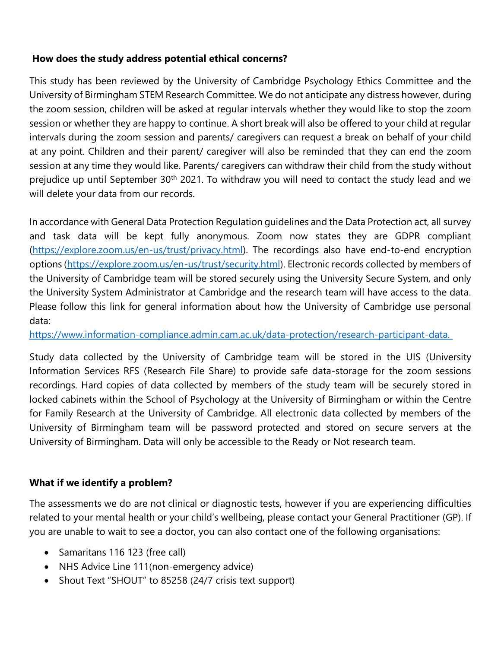#### **How does the study address potential ethical concerns?**

This study has been reviewed by the University of Cambridge Psychology Ethics Committee and the University of Birmingham STEM Research Committee. We do not anticipate any distress however, during the zoom session, children will be asked at regular intervals whether they would like to stop the zoom session or whether they are happy to continue. A short break will also be offered to your child at regular intervals during the zoom session and parents/ caregivers can request a break on behalf of your child at any point. Children and their parent/ caregiver will also be reminded that they can end the zoom session at any time they would like. Parents/ caregivers can withdraw their child from the study without prejudice up until September 30<sup>th</sup> 2021. To withdraw you will need to contact the study lead and we will delete your data from our records.

In accordance with General Data Protection Regulation guidelines and the Data Protection act, all survey and task data will be kept fully anonymous. Zoom now states they are GDPR compliant [\(https://explore.zoom.us/en-us/trust/privacy.html\)](https://explore.zoom.us/en-us/trust/privacy.html). The recordings also have end-to-end encryption options [\(https://explore.zoom.us/en-us/trust/security.html\)](https://explore.zoom.us/en-us/trust/security.html). Electronic records collected by members of the University of Cambridge team will be stored securely using the University Secure System, and only the University System Administrator at Cambridge and the research team will have access to the data. Please follow this link for general information about how the University of Cambridge use personal data:

[https://www.information-compliance.admin.cam.ac.uk/data-protection/research-participant-data.](https://www.information-compliance.admin.cam.ac.uk/data-protection/research-participant-data. )

Study data collected by the University of Cambridge team will be stored in the UIS (University Information Services RFS (Research File Share) to provide safe data-storage for the zoom sessions recordings. Hard copies of data collected by members of the study team will be securely stored in locked cabinets within the School of Psychology at the University of Birmingham or within the Centre for Family Research at the University of Cambridge. All electronic data collected by members of the University of Birmingham team will be password protected and stored on secure servers at the University of Birmingham. Data will only be accessible to the Ready or Not research team.

### **What if we identify a problem?**

The assessments we do are not clinical or diagnostic tests, however if you are experiencing difficulties related to your mental health or your child's wellbeing, please contact your General Practitioner (GP). If you are unable to wait to see a doctor, you can also contact one of the following organisations:

- Samaritans 116 123 (free call)
- NHS Advice Line 111(non-emergency advice)
- Shout Text "SHOUT" to 85258 (24/7 crisis text support)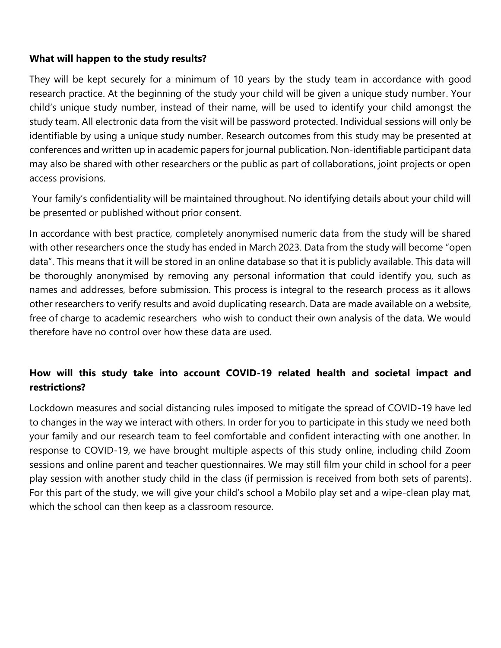#### **What will happen to the study results?**

They will be kept securely for a minimum of 10 years by the study team in accordance with good research practice. At the beginning of the study your child will be given a unique study number. Your child's unique study number, instead of their name, will be used to identify your child amongst the study team. All electronic data from the visit will be password protected. Individual sessions will only be identifiable by using a unique study number. Research outcomes from this study may be presented at conferences and written up in academic papers for journal publication. Non-identifiable participant data may also be shared with other researchers or the public as part of collaborations, joint projects or open access provisions.

Your family's confidentiality will be maintained throughout. No identifying details about your child will be presented or published without prior consent.

In accordance with best practice, completely anonymised numeric data from the study will be shared with other researchers once the study has ended in March 2023. Data from the study will become "open data". This means that it will be stored in an online database so that it is publicly available. This data will be thoroughly anonymised by removing any personal information that could identify you, such as names and addresses, before submission. This process is integral to the research process as it allows other researchers to verify results and avoid duplicating research. Data are made available on a website, free of charge to academic researchers who wish to conduct their own analysis of the data. We would therefore have no control over how these data are used.

## **How will this study take into account COVID-19 related health and societal impact and restrictions?**

Lockdown measures and social distancing rules imposed to mitigate the spread of COVID-19 have led to changes in the way we interact with others. In order for you to participate in this study we need both your family and our research team to feel comfortable and confident interacting with one another. In response to COVID-19, we have brought multiple aspects of this study online, including child Zoom sessions and online parent and teacher questionnaires. We may still film your child in school for a peer play session with another study child in the class (if permission is received from both sets of parents). For this part of the study, we will give your child's school a Mobilo play set and a wipe-clean play mat, which the school can then keep as a classroom resource.